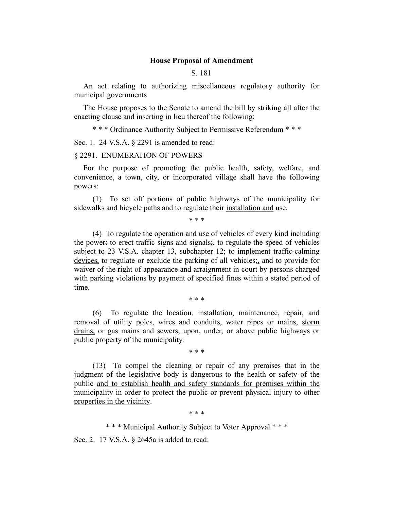## **House Proposal of Amendment**

#### S. 181

An act relating to authorizing miscellaneous regulatory authority for municipal governments

The House proposes to the Senate to amend the bill by striking all after the enacting clause and inserting in lieu thereof the following:

\* \* \* Ordinance Authority Subject to Permissive Referendum \* \* \*

Sec. 1. 24 V.S.A. § 2291 is amended to read:

### § 2291. ENUMERATION OF POWERS

For the purpose of promoting the public health, safety, welfare, and convenience, a town, city, or incorporated village shall have the following powers:

(1) To set off portions of public highways of the municipality for sidewalks and bicycle paths and to regulate their installation and use.

\* \* \*

(4) To regulate the operation and use of vehicles of every kind including the power: to erect traffic signs and signals;, to regulate the speed of vehicles subject to 23 V.S.A. chapter 13, subchapter 12; to implement traffic-calming devices, to regulate or exclude the parking of all vehicles;, and to provide for waiver of the right of appearance and arraignment in court by persons charged with parking violations by payment of specified fines within a stated period of time.

\* \* \*

(6) To regulate the location, installation, maintenance, repair, and removal of utility poles, wires and conduits, water pipes or mains, storm drains, or gas mains and sewers, upon, under, or above public highways or public property of the municipality.

\* \* \*

(13) To compel the cleaning or repair of any premises that in the judgment of the legislative body is dangerous to the health or safety of the public and to establish health and safety standards for premises within the municipality in order to protect the public or prevent physical injury to other properties in the vicinity.

\* \* \*

\* \* \* Municipal Authority Subject to Voter Approval \* \* \*

Sec. 2. 17 V.S.A. § 2645a is added to read: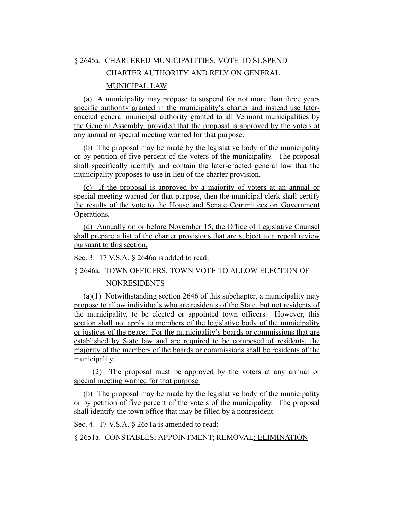# § 2645a. CHARTERED MUNICIPALITIES; VOTE TO SUSPEND

# CHARTER AUTHORITY AND RELY ON GENERAL

## MUNICIPAL LAW

(a) A municipality may propose to suspend for not more than three years specific authority granted in the municipality's charter and instead use laterenacted general municipal authority granted to all Vermont municipalities by the General Assembly, provided that the proposal is approved by the voters at any annual or special meeting warned for that purpose.

(b) The proposal may be made by the legislative body of the municipality or by petition of five percent of the voters of the municipality. The proposal shall specifically identify and contain the later-enacted general law that the municipality proposes to use in lieu of the charter provision.

(c) If the proposal is approved by a majority of voters at an annual or special meeting warned for that purpose, then the municipal clerk shall certify the results of the vote to the House and Senate Committees on Government Operations.

(d) Annually on or before November 15, the Office of Legislative Counsel shall prepare a list of the charter provisions that are subject to a repeal review pursuant to this section.

Sec. 3. 17 V.S.A. § 2646a is added to read:

#### § 2646a. TOWN OFFICERS; TOWN VOTE TO ALLOW ELECTION OF

## NONRESIDENTS

(a)(1) Notwithstanding section 2646 of this subchapter, a municipality may propose to allow individuals who are residents of the State, but not residents of the municipality, to be elected or appointed town officers. However, this section shall not apply to members of the legislative body of the municipality or justices of the peace. For the municipality's boards or commissions that are established by State law and are required to be composed of residents, the majority of the members of the boards or commissions shall be residents of the municipality.

(2) The proposal must be approved by the voters at any annual or special meeting warned for that purpose.

(b) The proposal may be made by the legislative body of the municipality or by petition of five percent of the voters of the municipality. The proposal shall identify the town office that may be filled by a nonresident.

Sec. 4. 17 V.S.A. § 2651a is amended to read:

§ 2651a. CONSTABLES; APPOINTMENT; REMOVAL; ELIMINATION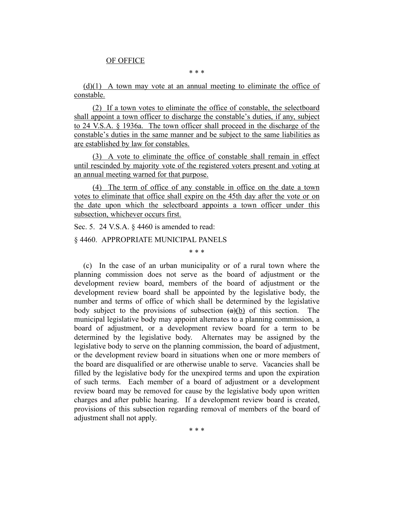## OF OFFICE

\* \* \*

 $(d)(1)$  A town may vote at an annual meeting to eliminate the office of constable.

(2) If a town votes to eliminate the office of constable, the selectboard shall appoint a town officer to discharge the constable's duties, if any, subject to 24 V.S.A. § 1936a. The town officer shall proceed in the discharge of the constable's duties in the same manner and be subject to the same liabilities as are established by law for constables.

(3) A vote to eliminate the office of constable shall remain in effect until rescinded by majority vote of the registered voters present and voting at an annual meeting warned for that purpose.

(4) The term of office of any constable in office on the date a town votes to eliminate that office shall expire on the 45th day after the vote or on the date upon which the selectboard appoints a town officer under this subsection, whichever occurs first.

Sec. 5. 24 V.S.A. § 4460 is amended to read:

#### § 4460. APPROPRIATE MUNICIPAL PANELS

\* \* \*

(c) In the case of an urban municipality or of a rural town where the planning commission does not serve as the board of adjustment or the development review board, members of the board of adjustment or the development review board shall be appointed by the legislative body, the number and terms of office of which shall be determined by the legislative body subject to the provisions of subsection  $(a)(b)$  of this section. The municipal legislative body may appoint alternates to a planning commission, a board of adjustment, or a development review board for a term to be determined by the legislative body. Alternates may be assigned by the legislative body to serve on the planning commission, the board of adjustment, or the development review board in situations when one or more members of the board are disqualified or are otherwise unable to serve. Vacancies shall be filled by the legislative body for the unexpired terms and upon the expiration of such terms. Each member of a board of adjustment or a development review board may be removed for cause by the legislative body upon written charges and after public hearing. If a development review board is created, provisions of this subsection regarding removal of members of the board of adjustment shall not apply.

\* \* \*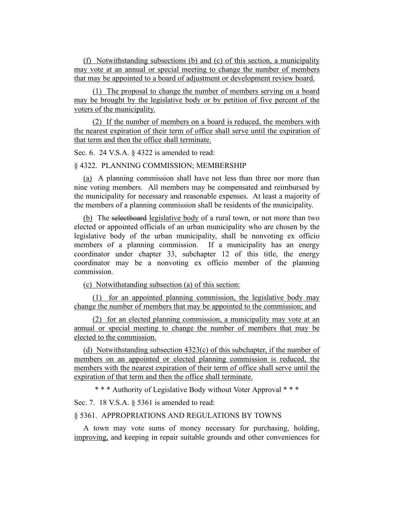(f) Notwithstanding subsections (b) and (c) of this section, a municipality may vote at an annual or special meeting to change the number of members that may be appointed to a board of adjustment or development review board.

(1) The proposal to change the number of members serving on a board may be brought by the legislative body or by petition of five percent of the voters of the municipality.

(2) If the number of members on a board is reduced, the members with the nearest expiration of their term of office shall serve until the expiration of that term and then the office shall terminate.

Sec. 6. 24 V.S.A. § 4322 is amended to read:

#### § 4322. PLANNING COMMISSION; MEMBERSHIP

(a) A planning commission shall have not less than three nor more than nine voting members. All members may be compensated and reimbursed by the municipality for necessary and reasonable expenses. At least a majority of the members of a planning commission shall be residents of the municipality.

(b) The selectboard legislative body of a rural town, or not more than two elected or appointed officials of an urban municipality who are chosen by the legislative body of the urban municipality, shall be nonvoting ex officio members of a planning commission. If a municipality has an energy coordinator under chapter 33, subchapter 12 of this title, the energy coordinator may be a nonvoting ex officio member of the planning commission.

(c) Notwithstanding subsection (a) of this section:

(1) for an appointed planning commission, the legislative body may change the number of members that may be appointed to the commission; and

(2) for an elected planning commission, a municipality may vote at an annual or special meeting to change the number of members that may be elected to the commission.

(d) Notwithstanding subsection 4323(c) of this subchapter, if the number of members on an appointed or elected planning commission is reduced, the members with the nearest expiration of their term of office shall serve until the expiration of that term and then the office shall terminate.

\* \* \* Authority of Legislative Body without Voter Approval \* \* \*

Sec. 7. 18 V.S.A. § 5361 is amended to read:

# § 5361. APPROPRIATIONS AND REGULATIONS BY TOWNS

A town may vote sums of money necessary for purchasing, holding, improving, and keeping in repair suitable grounds and other conveniences for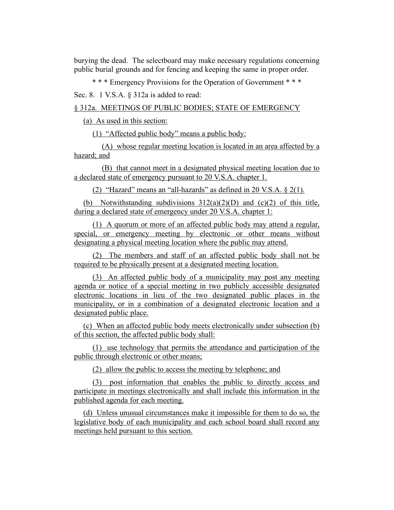burying the dead. The selectboard may make necessary regulations concerning public burial grounds and for fencing and keeping the same in proper order.

\* \* \* Emergency Provisions for the Operation of Government \* \* \*

Sec. 8. 1 V.S.A. § 312a is added to read:

§ 312a. MEETINGS OF PUBLIC BODIES; STATE OF EMERGENCY

(a) As used in this section:

(1) "Affected public body" means a public body:

(A) whose regular meeting location is located in an area affected by a hazard; and

(B) that cannot meet in a designated physical meeting location due to a declared state of emergency pursuant to 20 V.S.A. chapter 1.

(2) "Hazard" means an "all-hazards" as defined in 20 V.S.A. § 2(1).

(b) Notwithstanding subdivisions  $312(a)(2)(D)$  and  $(c)(2)$  of this title, during a declared state of emergency under 20 V.S.A. chapter 1:

(1) A quorum or more of an affected public body may attend a regular, special, or emergency meeting by electronic or other means without designating a physical meeting location where the public may attend.

(2) The members and staff of an affected public body shall not be required to be physically present at a designated meeting location.

(3) An affected public body of a municipality may post any meeting agenda or notice of a special meeting in two publicly accessible designated electronic locations in lieu of the two designated public places in the municipality, or in a combination of a designated electronic location and a designated public place.

(c) When an affected public body meets electronically under subsection (b) of this section, the affected public body shall:

(1) use technology that permits the attendance and participation of the public through electronic or other means;

(2) allow the public to access the meeting by telephone; and

(3) post information that enables the public to directly access and participate in meetings electronically and shall include this information in the published agenda for each meeting.

(d) Unless unusual circumstances make it impossible for them to do so, the legislative body of each municipality and each school board shall record any meetings held pursuant to this section.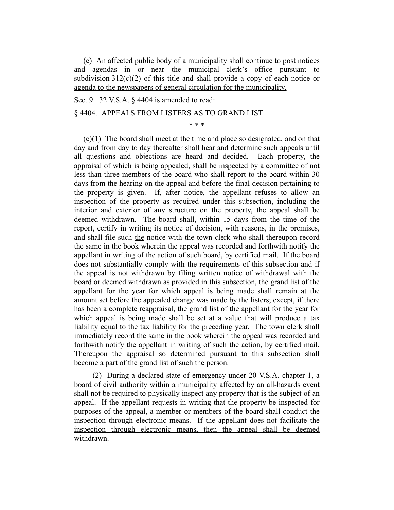(e) An affected public body of a municipality shall continue to post notices and agendas in or near the municipal clerk's office pursuant to subdivision  $312(c)(2)$  of this title and shall provide a copy of each notice or agenda to the newspapers of general circulation for the municipality.

Sec. 9. 32 V.S.A. § 4404 is amended to read:

## § 4404. APPEALS FROM LISTERS AS TO GRAND LIST

\* \* \*

(c)(1) The board shall meet at the time and place so designated, and on that day and from day to day thereafter shall hear and determine such appeals until all questions and objections are heard and decided. Each property, the appraisal of which is being appealed, shall be inspected by a committee of not less than three members of the board who shall report to the board within 30 days from the hearing on the appeal and before the final decision pertaining to the property is given. If, after notice, the appellant refuses to allow an inspection of the property as required under this subsection, including the interior and exterior of any structure on the property, the appeal shall be deemed withdrawn. The board shall, within 15 days from the time of the report, certify in writing its notice of decision, with reasons, in the premises, and shall file such the notice with the town clerk who shall thereupon record the same in the book wherein the appeal was recorded and forthwith notify the appellant in writing of the action of such board, by certified mail. If the board does not substantially comply with the requirements of this subsection and if the appeal is not withdrawn by filing written notice of withdrawal with the board or deemed withdrawn as provided in this subsection, the grand list of the appellant for the year for which appeal is being made shall remain at the amount set before the appealed change was made by the listers; except, if there has been a complete reappraisal, the grand list of the appellant for the year for which appeal is being made shall be set at a value that will produce a tax liability equal to the tax liability for the preceding year. The town clerk shall immediately record the same in the book wherein the appeal was recorded and forthwith notify the appellant in writing of such the action, by certified mail. Thereupon the appraisal so determined pursuant to this subsection shall become a part of the grand list of such the person.

(2) During a declared state of emergency under 20 V.S.A. chapter 1, a board of civil authority within a municipality affected by an all-hazards event shall not be required to physically inspect any property that is the subject of an appeal. If the appellant requests in writing that the property be inspected for purposes of the appeal, a member or members of the board shall conduct the inspection through electronic means. If the appellant does not facilitate the inspection through electronic means, then the appeal shall be deemed withdrawn.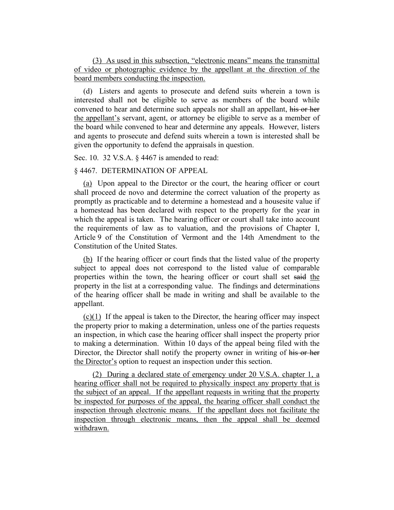(3) As used in this subsection, "electronic means" means the transmittal of video or photographic evidence by the appellant at the direction of the board members conducting the inspection.

(d) Listers and agents to prosecute and defend suits wherein a town is interested shall not be eligible to serve as members of the board while convened to hear and determine such appeals nor shall an appellant, his or her the appellant's servant, agent, or attorney be eligible to serve as a member of the board while convened to hear and determine any appeals. However, listers and agents to prosecute and defend suits wherein a town is interested shall be given the opportunity to defend the appraisals in question.

Sec. 10. 32 V.S.A. § 4467 is amended to read:

#### § 4467. DETERMINATION OF APPEAL

(a) Upon appeal to the Director or the court, the hearing officer or court shall proceed de novo and determine the correct valuation of the property as promptly as practicable and to determine a homestead and a housesite value if a homestead has been declared with respect to the property for the year in which the appeal is taken. The hearing officer or court shall take into account the requirements of law as to valuation, and the provisions of Chapter I, Article 9 of the Constitution of Vermont and the 14th Amendment to the Constitution of the United States.

(b) If the hearing officer or court finds that the listed value of the property subject to appeal does not correspond to the listed value of comparable properties within the town, the hearing officer or court shall set said the property in the list at a corresponding value. The findings and determinations of the hearing officer shall be made in writing and shall be available to the appellant.

(c)(1) If the appeal is taken to the Director, the hearing officer may inspect the property prior to making a determination, unless one of the parties requests an inspection, in which case the hearing officer shall inspect the property prior to making a determination. Within 10 days of the appeal being filed with the Director, the Director shall notify the property owner in writing of his or her the Director's option to request an inspection under this section.

(2) During a declared state of emergency under 20 V.S.A. chapter 1, a hearing officer shall not be required to physically inspect any property that is the subject of an appeal. If the appellant requests in writing that the property be inspected for purposes of the appeal, the hearing officer shall conduct the inspection through electronic means. If the appellant does not facilitate the inspection through electronic means, then the appeal shall be deemed withdrawn.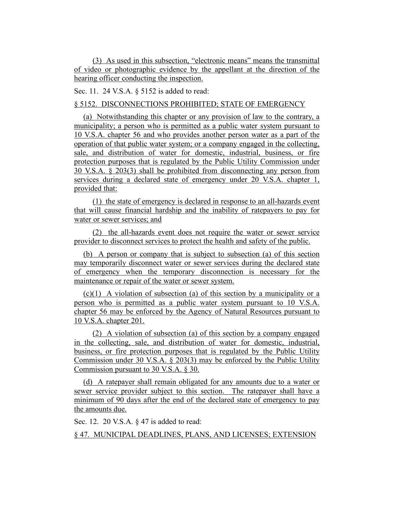(3) As used in this subsection, "electronic means" means the transmittal of video or photographic evidence by the appellant at the direction of the hearing officer conducting the inspection.

Sec. 11. 24 V.S.A. § 5152 is added to read:

# § 5152. DISCONNECTIONS PROHIBITED; STATE OF EMERGENCY

(a) Notwithstanding this chapter or any provision of law to the contrary, a municipality; a person who is permitted as a public water system pursuant to 10 V.S.A. chapter 56 and who provides another person water as a part of the operation of that public water system; or a company engaged in the collecting, sale, and distribution of water for domestic, industrial, business, or fire protection purposes that is regulated by the Public Utility Commission under 30 V.S.A. § 203(3) shall be prohibited from disconnecting any person from services during a declared state of emergency under 20 V.S.A. chapter 1, provided that:

(1) the state of emergency is declared in response to an all-hazards event that will cause financial hardship and the inability of ratepayers to pay for water or sewer services; and

(2) the all-hazards event does not require the water or sewer service provider to disconnect services to protect the health and safety of the public.

(b) A person or company that is subject to subsection (a) of this section may temporarily disconnect water or sewer services during the declared state of emergency when the temporary disconnection is necessary for the maintenance or repair of the water or sewer system.

(c)(1) A violation of subsection (a) of this section by a municipality or a person who is permitted as a public water system pursuant to 10 V.S.A. chapter 56 may be enforced by the Agency of Natural Resources pursuant to 10 V.S.A. chapter 201.

(2) A violation of subsection (a) of this section by a company engaged in the collecting, sale, and distribution of water for domestic, industrial, business, or fire protection purposes that is regulated by the Public Utility Commission under 30 V.S.A. § 203(3) may be enforced by the Public Utility Commission pursuant to 30 V.S.A. § 30.

(d) A ratepayer shall remain obligated for any amounts due to a water or sewer service provider subject to this section. The ratepayer shall have a minimum of 90 days after the end of the declared state of emergency to pay the amounts due.

Sec. 12. 20 V.S.A. § 47 is added to read:

§ 47. MUNICIPAL DEADLINES, PLANS, AND LICENSES; EXTENSION